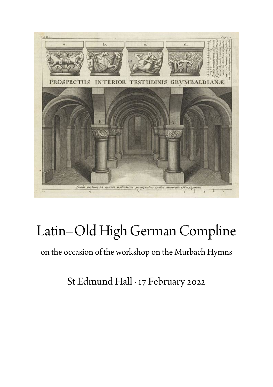

# Latin–Old High German Compline

on the occasion of the workshop on the Murbach Hymns

St Edmund Hall · 17 February 2022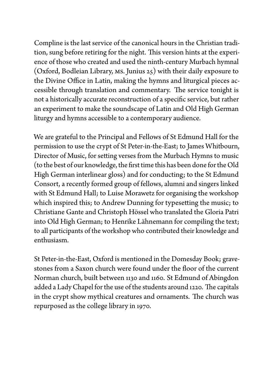Compline is the last service of the canonical hours in the Christian tradition, sung before retiring for the night. This version hints at the experience of those who created and used the ninth-century Murbach hymnal (Oxford, Bodleian Library, MS. Junius 25) with their daily exposure to the Divine Office in Latin, making the hymns and liturgical pieces accessible through translation and commentary. The service tonight is not a historically accurate reconstruction of a specific service, but rather an experiment to make the soundscape of Latin and Old High German liturgy and hymns accessible to a contemporary audience.

We are grateful to the Principal and Fellows of St Edmund Hall for the permission to use the crypt of St Peter-in-the-East; to James Whitbourn, Director of Music, for setting verses from the Murbach Hymns to music (tothe best of our knowledge, the first time this has been done for the Old High German interlinear gloss) and for conducting; to the St Edmund Consort, a recently formed group of fellows, alumni and singers linked with St Edmund Hall; to Luise Morawetz for organising the workshop which inspired this; to Andrew Dunning for typesetting the music; to Christiane Gante and Christoph Hössel who translated the Gloria Patri into Old High German; to Henrike Lähnemann for compiling the text; to all participants of the workshop who contributed their knowledge and enthusiasm.

St Peter-in-the-East, Oxford is mentioned in the Domesday Book; gravestones from a Saxon church were found under the floor of the current Norman church, built between 1130 and 1160. St Edmund of Abingdon added a Lady Chapel for the use of the students around 1220. The capitals in the crypt show mythical creatures and ornaments. The church was repurposed as the college library in 1970.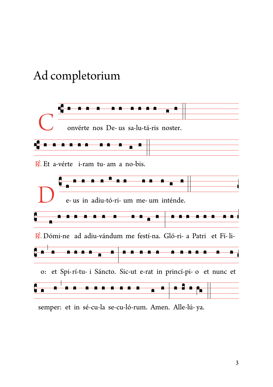# Ad completorium



semper: et in sé-cu-la se-cu-ló-rum. Amen. Alle-lú-ya.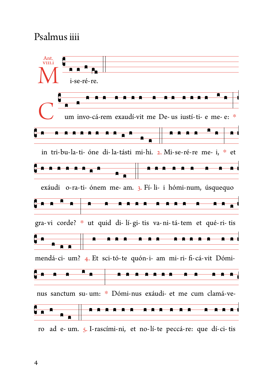## Psalmus iiii

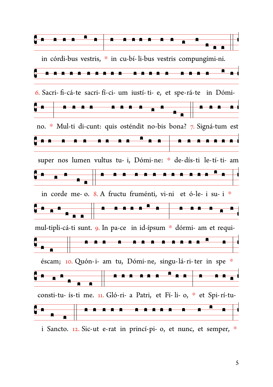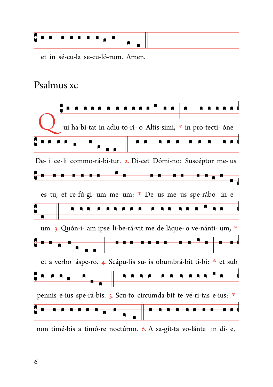

et in sé-cu-la se-cu-ló-rum. Amen.

#### Psalmus xc



non timé-bis a timó-re noctúrno. 6. A sa-gít-ta vo-lánte in di-e,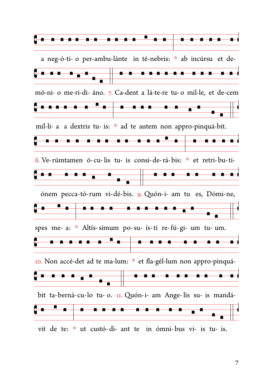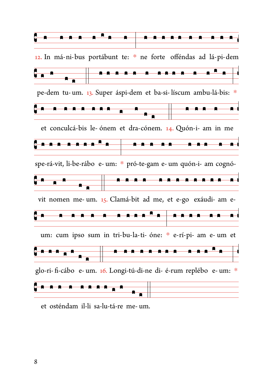

et osténdam il-li sa-lu-tá-re me- um.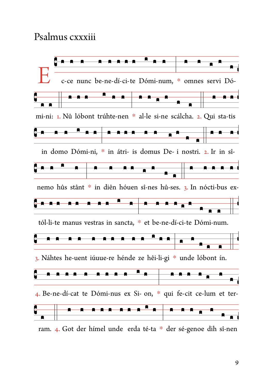#### Psalmus cxxxiii



ram. 4. Got der hímel unde erda té-ta \* der sé-genoe dih sî-nen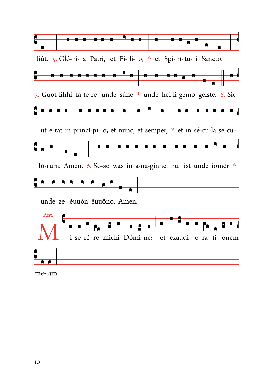

me-am.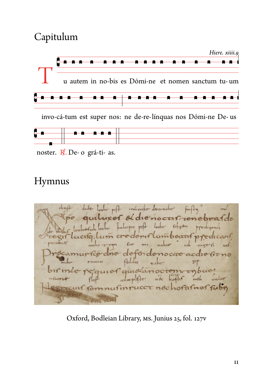# Capitulum



invo-cá-tum est super nos: ne de-re-línguas nos Dómi-ne De-us



noster. R. De- o grá-ti- as.

# Hymnus

dudge looks pift interested granatie finfty ind pe quiluxer et die nocurrenchearde ucito lum credenislumbeauf predicant for my natro ich rage: fi rocamursco dre defondenocre acdie sirno Aille  $SP$ birinte requier quidanocrem inbue; conceptofe not hother until under mfacorner egrecuit formulinrucct nochofatnof fubi

Oxford, Bodleian Library, MS. Junius 25, fol. 127V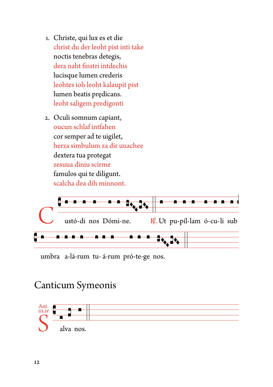- 1. Christe, qui lux es et die christ du der leoht pist inti take noctis tenebras detegis, dera naht finstri intdechis lucisque lumen crederis leohtes ioh leoht kalaupit pist lumen beatis predicans. leoht saligem predigonti
- 2. Oculi somnum capiant, oucun schlaf intfahen cor semper ad te uigilet, herza simbulum za dir uuachee dextera tua protegat zesuua diniu scirme famulos qui te diligunt. scalcha dea dih minnont.



umbra a-lá-rum tu-á-rum pró-te-ge nos.

## **Canticum Symeonis**

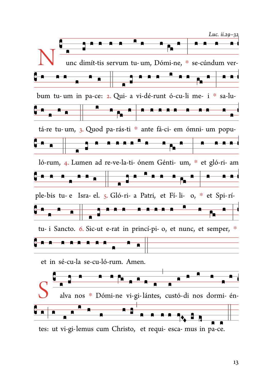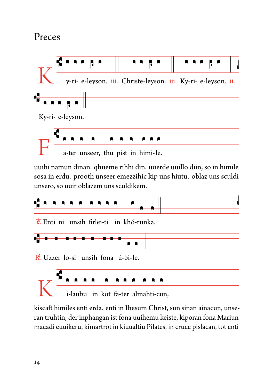## Preces



uuihi namun dinan. qhueme rihhi din. uuerde uuillo diin, so in himile sosa in erdu. prooth unseer emezzihic kip uns hiutu. oblaz uns sculdi unsero, so uuir oblazem uns sculdikem.



V. Enti ni unsih firlei-ti in khó-runka.



 $\mathbb{R}$ . Uzzer lo-si unsih fona ú-bi-le.



kiscaft himiles enti erda. enti in Ihesum Christ, sun sinan ainacun, unseran truhtin, der inphangan ist fona uuihemu keiste, kiporan fona Mariun macadi euuikeru, kimartrot in kiuualtiu Pilates, in cruce pislacan, tot enti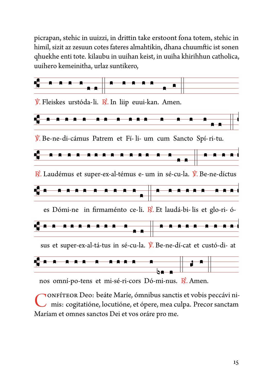picrapan, stehic in uuizzi, in drittin take erstoont fona totem, stehic in himil, sizit az zesuun cotes fateres almahtikin, dhana chuumftic ist sonen qhuekhe enti tote. kilaubu in uuihan keist, in uuiha khirihhun catholica, uuihero kemeinitha, urlaz suntikero,



nos omní-po-tens et mi-sé-ri-cors Dó-mi-nus. R. Amen.

ONFÍTEOR Deo: beáte Maríe, ómnibus sanctis et vobis peccávi nimis: cogitatióne, locutióne, et ópere, mea culpa. Precor sanctam Maríam et omnes sanctos Dei et vos oráre pro me.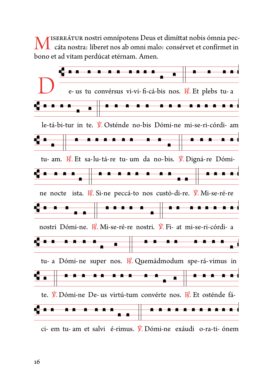ISEREÁTUR nostri omnípotens Deus et dimíttat nobis ómnia peccáta nostra: líberet nos ab omni malo: consérvet et confírmet in bono et ad vitam perdúcat etérnam. Amen.

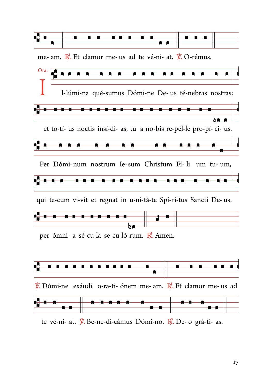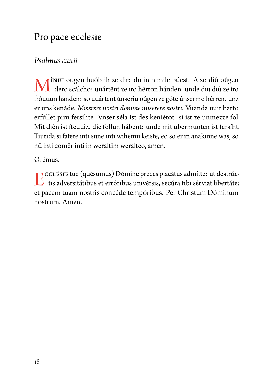# Pro pace ecclesie

#### *Psalmus cxxii*

M îniu ougen huôb ih ze dir: du in himile búest. Also diû oûgen<br>dero scálcho: uuártênt ze iro hêrron hánden. unde diu diû ze íro<br>fráunum handen, se uuártent únscriu oûgen ze oáte únscriu a hêrron, und dero scálcho: uuártênt ze iro hêrron hánden. unde diu diû ze íro fróuuun handen: so uuártent únseriu oûgen ze góte únsermo hêrren. unz er uns kenáde. *Miserere nostri domine miserere nostri.* Vuanda uuir harto erfúllet pirn fersíhte. Vnser sêla ist des keniêtot. sî ist ze únmezze fol. Mit diên ist íteuuîz. die follun hábent: unde mit ubermuoten ist fersíht. Tiurida sī fatere inti sune inti wīhemu keiste, eo sō er in anakinne was, sō nū inti eomēr inti in weraltim weralteo, amen.

Orémus.

E CCLÉSIE tue (quésumus) Dómine preces placátus admítte: ut destrúctive<br>tis adversitátibus et erróribus univérsis, secúra tibi sérviat libertáte: cclésie tue (quésumus) Dómine preces placátus admítte: ut destrúcet pacem tuam nostris concéde tempóribus. Per Christum Dóminum nostrum. Amen.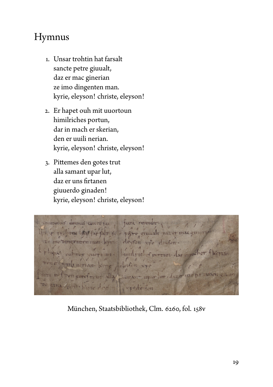# Hymnus

- 1. Unsar trohtin hat farsalt sancte petre giuualt, daz er mac ginerian ze imo dingenten man. kyrie, eleyson! christe, eleyson!
- 2. Er hapet ouh mit uuortoun himilriches portun, dar in mach er skerian, den er uuili nerian. kyrie, eleyson! christe, eleyson!
- 3. Pittemes den gotes trut alla samant upar lut, daz er uns firtanen giuuerdo ginaden! kyrie, eleyson! christe, eleyson!

dominai tu tarra revendte It to a page gunst car eleyfon voe unulrie of portun day aneman. 11327 13-7  $114.47$ 

[München, Staatsbibliothek, Clm. 6260, fol. 158v](https://www.digitale-sammlungen.de/en/view/bsb00047199?page=320)